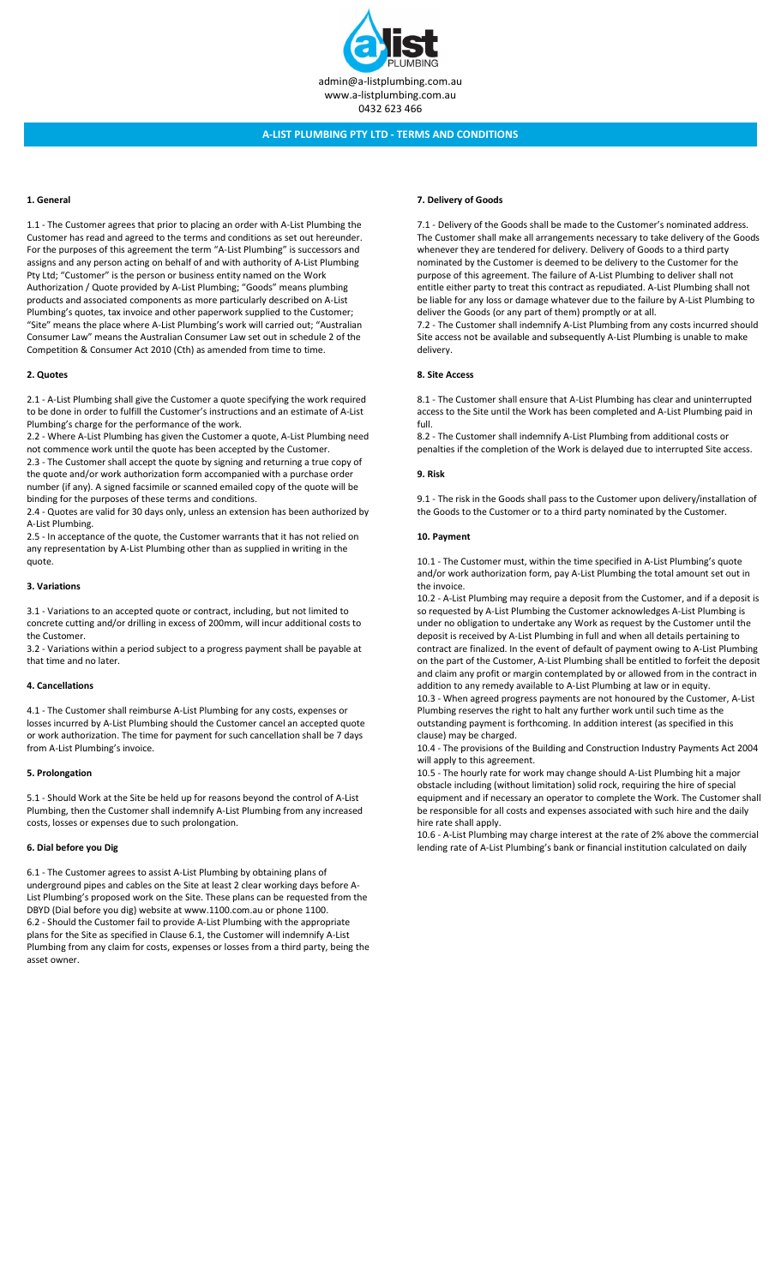

## 1. General

1.1 - The Customer agrees that prior to placing an order with A-List Plumbing the Customer has read and agreed to the terms and conditions as set out hereunder. For the purposes of this agreement the term "A-List Plumbing" is successors and assigns and any person acting on behalf of and with authority of A-List Plumbing Pty Ltd; "Customer" is the person or business entity named on the Work Authorization / Quote provided by A-List Plumbing; "Goods" means plumbing products and associated components as more particularly described on A-List Plumbing's quotes, tax invoice and other paperwork supplied to the Customer; "Site" means the place where A-List Plumbing's work will carried out; "Australian Consumer Law" means the Australian Consumer Law set out in schedule 2 of the Competition & Consumer Act 2010 (Cth) as amended from time to time.

## 2. Quotes

2.1 - A-List Plumbing shall give the Customer a quote specifying the work required to be done in order to fulfill the Customer's instructions and an estimate of A-List Plumbing's charge for the performance of the work.

2.2 - Where A-List Plumbing has given the Customer a quote, A-List Plumbing need not commence work until the quote has been accepted by the Customer.

2.3 - The Customer shall accept the quote by signing and returning a true copy of the quote and/or work authorization form accompanied with a purchase order number (if any). A signed facsimile or scanned emailed copy of the quote will be binding for the purposes of these terms and conditions.

2.4 - Quotes are valid for 30 days only, unless an extension has been authorized by A-List Plumbing.

2.5 - In acceptance of the quote, the Customer warrants that it has not relied on any representation by A-List Plumbing other than as supplied in writing in the quote.

## 3. Variations

3.1 - Variations to an accepted quote or contract, including, but not limited to concrete cutting and/or drilling in excess of 200mm, will incur additional costs to the Customer.

3.2 - Variations within a period subject to a progress payment shall be payable at that time and no later.

## 4. Cancellations

4.1 - The Customer shall reimburse A-List Plumbing for any costs, expenses or losses incurred by A-List Plumbing should the Customer cancel an accepted quote or work authorization. The time for payment for such cancellation shall be 7 days from A-List Plumbing's invoice.

#### 5. Prolongation

5.1 - Should Work at the Site be held up for reasons beyond the control of A-List Plumbing, then the Customer shall indemnify A-List Plumbing from any increased costs, losses or expenses due to such prolongation.

## 6. Dial before you Dig

6.1 - The Customer agrees to assist A-List Plumbing by obtaining plans of underground pipes and cables on the Site at least 2 clear working days before A-List Plumbing's proposed work on the Site. These plans can be requested from the DBYD (Dial before you dig) website at www.1100.com.au or phone 1100. 6.2 - Should the Customer fail to provide A-List Plumbing with the appropriate plans for the Site as specified in Clause 6.1, the Customer will indemnify A-List Plumbing from any claim for costs, expenses or losses from a third party, being the asset owner.

## 7. Delivery of Goods

7.1 - Delivery of the Goods shall be made to the Customer's nominated address. The Customer shall make all arrangements necessary to take delivery of the Goods whenever they are tendered for delivery. Delivery of Goods to a third party nominated by the Customer is deemed to be delivery to the Customer for the purpose of this agreement. The failure of A-List Plumbing to deliver shall not entitle either party to treat this contract as repudiated. A-List Plumbing shall not be liable for any loss or damage whatever due to the failure by A-List Plumbing to deliver the Goods (or any part of them) promptly or at all.

7.2 - The Customer shall indemnify A-List Plumbing from any costs incurred should Site access not be available and subsequently A-List Plumbing is unable to make delivery.

### 8. Site Access

8.1 - The Customer shall ensure that A-List Plumbing has clear and uninterrupted access to the Site until the Work has been completed and A-List Plumbing paid in full.

8.2 - The Customer shall indemnify A-List Plumbing from additional costs or penalties if the completion of the Work is delayed due to interrupted Site access.

#### 9. Risk

9.1 - The risk in the Goods shall pass to the Customer upon delivery/installation of the Goods to the Customer or to a third party nominated by the Customer.

#### 10. Payment

10.1 - The Customer must, within the time specified in A-List Plumbing's quote and/or work authorization form, pay A-List Plumbing the total amount set out in the invoice.

10.2 - A-List Plumbing may require a deposit from the Customer, and if a deposit is so requested by A-List Plumbing the Customer acknowledges A-List Plumbing is under no obligation to undertake any Work as request by the Customer until the deposit is received by A-List Plumbing in full and when all details pertaining to contract are finalized. In the event of default of payment owing to A-List Plumbing on the part of the Customer, A-List Plumbing shall be entitled to forfeit the deposit and claim any profit or margin contemplated by or allowed from in the contract in addition to any remedy available to A-List Plumbing at law or in equity.

10.3 - When agreed progress payments are not honoured by the Customer, A-List Plumbing reserves the right to halt any further work until such time as the outstanding payment is forthcoming. In addition interest (as specified in this clause) may be charged.

10.4 - The provisions of the Building and Construction Industry Payments Act 2004 will apply to this agreement.

10.5 - The hourly rate for work may change should A-List Plumbing hit a major obstacle including (without limitation) solid rock, requiring the hire of special equipment and if necessary an operator to complete the Work. The Customer shall be responsible for all costs and expenses associated with such hire and the daily hire rate shall apply.

10.6 - A-List Plumbing may charge interest at the rate of 2% above the commercial lending rate of A-List Plumbing's bank or financial institution calculated on daily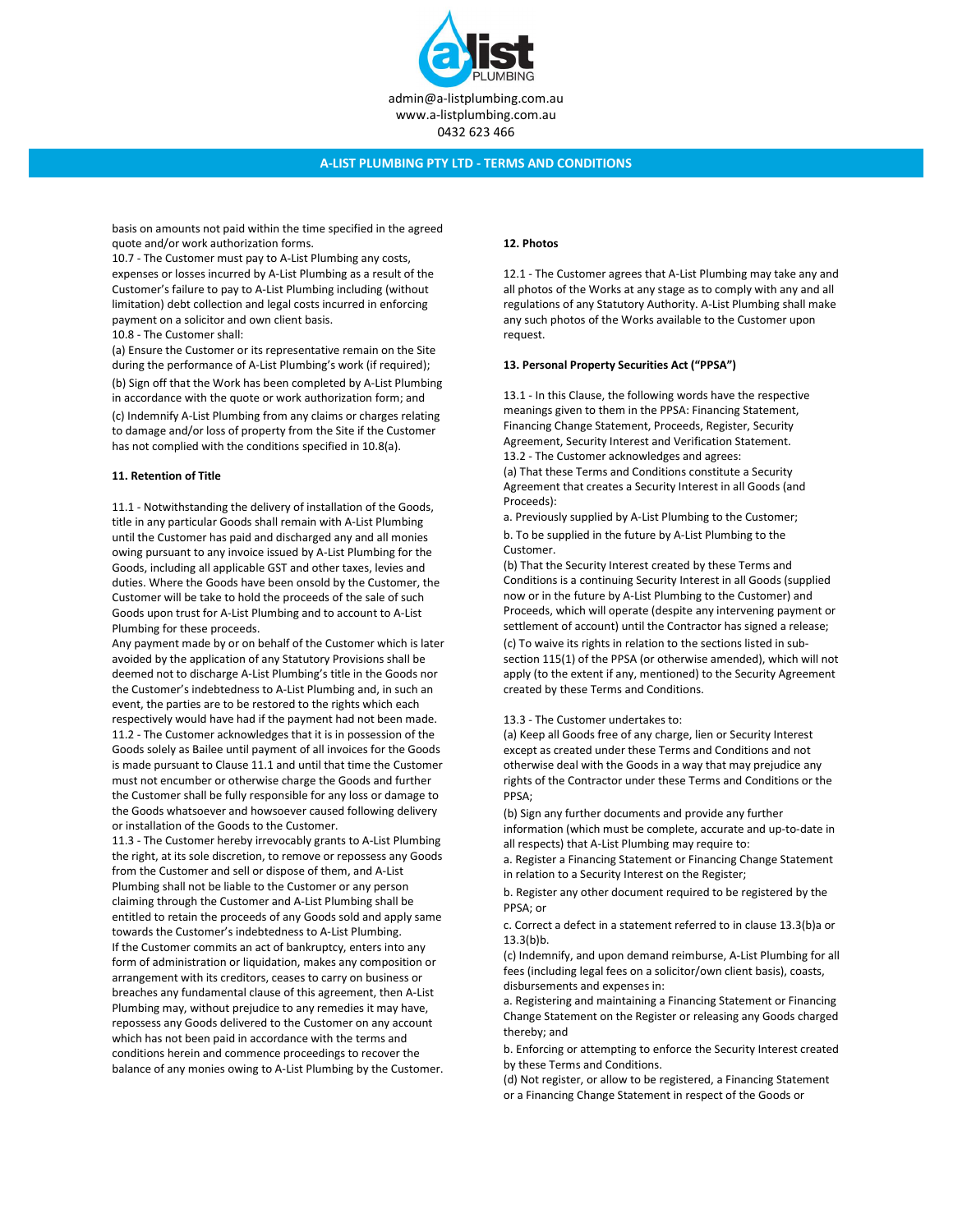

basis on amounts not paid within the time specified in the agreed quote and/or work authorization forms.

10.7 - The Customer must pay to A-List Plumbing any costs, expenses or losses incurred by A-List Plumbing as a result of the Customer's failure to pay to A-List Plumbing including (without limitation) debt collection and legal costs incurred in enforcing payment on a solicitor and own client basis.

10.8 - The Customer shall:

(a) Ensure the Customer or its representative remain on the Site during the performance of A-List Plumbing's work (if required); (b) Sign off that the Work has been completed by A-List Plumbing in accordance with the quote or work authorization form; and (c) Indemnify A-List Plumbing from any claims or charges relating to damage and/or loss of property from the Site if the Customer has not complied with the conditions specified in 10.8(a).

#### 11. Retention of Title

11.1 - Notwithstanding the delivery of installation of the Goods, title in any particular Goods shall remain with A-List Plumbing until the Customer has paid and discharged any and all monies owing pursuant to any invoice issued by A-List Plumbing for the Goods, including all applicable GST and other taxes, levies and duties. Where the Goods have been onsold by the Customer, the Customer will be take to hold the proceeds of the sale of such Goods upon trust for A-List Plumbing and to account to A-List Plumbing for these proceeds.

Any payment made by or on behalf of the Customer which is later avoided by the application of any Statutory Provisions shall be deemed not to discharge A-List Plumbing's title in the Goods nor the Customer's indebtedness to A-List Plumbing and, in such an event, the parties are to be restored to the rights which each respectively would have had if the payment had not been made. 11.2 - The Customer acknowledges that it is in possession of the Goods solely as Bailee until payment of all invoices for the Goods is made pursuant to Clause 11.1 and until that time the Customer must not encumber or otherwise charge the Goods and further the Customer shall be fully responsible for any loss or damage to the Goods whatsoever and howsoever caused following delivery or installation of the Goods to the Customer.

11.3 - The Customer hereby irrevocably grants to A-List Plumbing the right, at its sole discretion, to remove or repossess any Goods from the Customer and sell or dispose of them, and A-List Plumbing shall not be liable to the Customer or any person claiming through the Customer and A-List Plumbing shall be entitled to retain the proceeds of any Goods sold and apply same towards the Customer's indebtedness to A-List Plumbing. If the Customer commits an act of bankruptcy, enters into any form of administration or liquidation, makes any composition or arrangement with its creditors, ceases to carry on business or breaches any fundamental clause of this agreement, then A-List Plumbing may, without prejudice to any remedies it may have, repossess any Goods delivered to the Customer on any account which has not been paid in accordance with the terms and conditions herein and commence proceedings to recover the balance of any monies owing to A-List Plumbing by the Customer.

#### 12. Photos

12.1 - The Customer agrees that A-List Plumbing may take any and all photos of the Works at any stage as to comply with any and all regulations of any Statutory Authority. A-List Plumbing shall make any such photos of the Works available to the Customer upon request.

#### 13. Personal Property Securities Act ("PPSA")

13.1 - In this Clause, the following words have the respective meanings given to them in the PPSA: Financing Statement, Financing Change Statement, Proceeds, Register, Security Agreement, Security Interest and Verification Statement. 13.2 - The Customer acknowledges and agrees:

(a) That these Terms and Conditions constitute a Security Agreement that creates a Security Interest in all Goods (and Proceeds):

a. Previously supplied by A-List Plumbing to the Customer; b. To be supplied in the future by A-List Plumbing to the Customer.

(b) That the Security Interest created by these Terms and Conditions is a continuing Security Interest in all Goods (supplied now or in the future by A-List Plumbing to the Customer) and Proceeds, which will operate (despite any intervening payment or settlement of account) until the Contractor has signed a release;

(c) To waive its rights in relation to the sections listed in subsection 115(1) of the PPSA (or otherwise amended), which will not apply (to the extent if any, mentioned) to the Security Agreement created by these Terms and Conditions.

13.3 - The Customer undertakes to:

(a) Keep all Goods free of any charge, lien or Security Interest except as created under these Terms and Conditions and not otherwise deal with the Goods in a way that may prejudice any rights of the Contractor under these Terms and Conditions or the PPSA;

(b) Sign any further documents and provide any further information (which must be complete, accurate and up-to-date in all respects) that A-List Plumbing may require to:

a. Register a Financing Statement or Financing Change Statement in relation to a Security Interest on the Register;

b. Register any other document required to be registered by the PPSA; or

c. Correct a defect in a statement referred to in clause 13.3(b)a or  $13.3(b)$ <sub>b</sub>.

(c) Indemnify, and upon demand reimburse, A-List Plumbing for all fees (including legal fees on a solicitor/own client basis), coasts, disbursements and expenses in:

a. Registering and maintaining a Financing Statement or Financing Change Statement on the Register or releasing any Goods charged thereby; and

b. Enforcing or attempting to enforce the Security Interest created by these Terms and Conditions.

(d) Not register, or allow to be registered, a Financing Statement or a Financing Change Statement in respect of the Goods or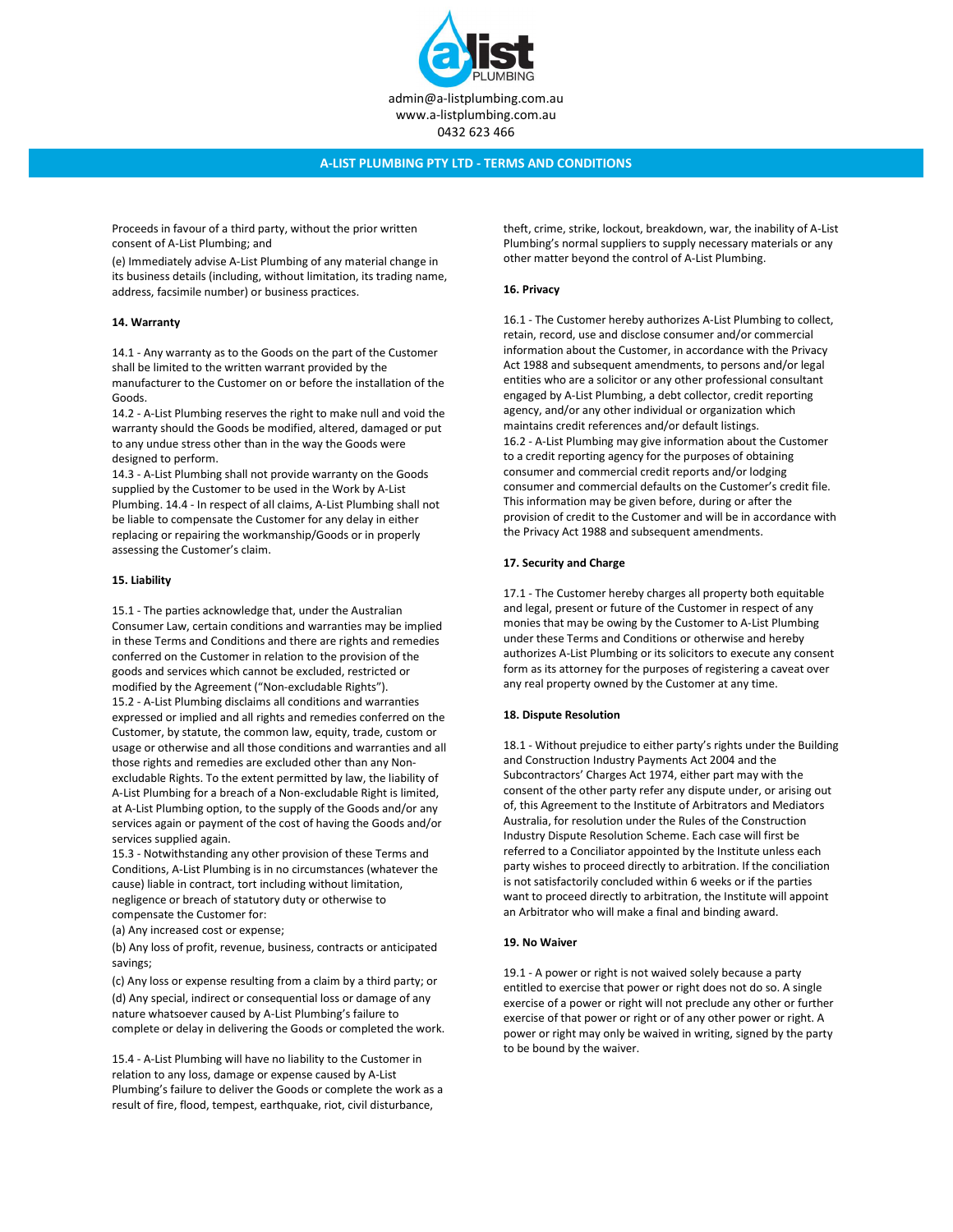

Proceeds in favour of a third party, without the prior written consent of A-List Plumbing; and

(e) Immediately advise A-List Plumbing of any material change in its business details (including, without limitation, its trading name, address, facsimile number) or business practices.

#### 14. Warranty

14.1 - Any warranty as to the Goods on the part of the Customer shall be limited to the written warrant provided by the manufacturer to the Customer on or before the installation of the Goods.

14.2 - A-List Plumbing reserves the right to make null and void the warranty should the Goods be modified, altered, damaged or put to any undue stress other than in the way the Goods were designed to perform.

14.3 - A-List Plumbing shall not provide warranty on the Goods supplied by the Customer to be used in the Work by A-List Plumbing. 14.4 - In respect of all claims, A-List Plumbing shall not be liable to compensate the Customer for any delay in either replacing or repairing the workmanship/Goods or in properly assessing the Customer's claim.

#### 15. Liability

15.1 - The parties acknowledge that, under the Australian Consumer Law, certain conditions and warranties may be implied in these Terms and Conditions and there are rights and remedies conferred on the Customer in relation to the provision of the goods and services which cannot be excluded, restricted or modified by the Agreement ("Non-excludable Rights"). 15.2 - A-List Plumbing disclaims all conditions and warranties expressed or implied and all rights and remedies conferred on the Customer, by statute, the common law, equity, trade, custom or usage or otherwise and all those conditions and warranties and all those rights and remedies are excluded other than any Nonexcludable Rights. To the extent permitted by law, the liability of A-List Plumbing for a breach of a Non-excludable Right is limited, at A-List Plumbing option, to the supply of the Goods and/or any services again or payment of the cost of having the Goods and/or services supplied again.

15.3 - Notwithstanding any other provision of these Terms and Conditions, A-List Plumbing is in no circumstances (whatever the cause) liable in contract, tort including without limitation, negligence or breach of statutory duty or otherwise to compensate the Customer for:

(a) Any increased cost or expense;

(b) Any loss of profit, revenue, business, contracts or anticipated savings;

(c) Any loss or expense resulting from a claim by a third party; or (d) Any special, indirect or consequential loss or damage of any nature whatsoever caused by A-List Plumbing's failure to complete or delay in delivering the Goods or completed the work.

15.4 - A-List Plumbing will have no liability to the Customer in relation to any loss, damage or expense caused by A-List Plumbing's failure to deliver the Goods or complete the work as a result of fire, flood, tempest, earthquake, riot, civil disturbance,

theft, crime, strike, lockout, breakdown, war, the inability of A-List Plumbing's normal suppliers to supply necessary materials or any other matter beyond the control of A-List Plumbing.

### 16. Privacy

16.1 - The Customer hereby authorizes A-List Plumbing to collect, retain, record, use and disclose consumer and/or commercial information about the Customer, in accordance with the Privacy Act 1988 and subsequent amendments, to persons and/or legal entities who are a solicitor or any other professional consultant engaged by A-List Plumbing, a debt collector, credit reporting agency, and/or any other individual or organization which maintains credit references and/or default listings. 16.2 - A-List Plumbing may give information about the Customer to a credit reporting agency for the purposes of obtaining consumer and commercial credit reports and/or lodging consumer and commercial defaults on the Customer's credit file. This information may be given before, during or after the provision of credit to the Customer and will be in accordance with the Privacy Act 1988 and subsequent amendments.

#### 17. Security and Charge

17.1 - The Customer hereby charges all property both equitable and legal, present or future of the Customer in respect of any monies that may be owing by the Customer to A-List Plumbing under these Terms and Conditions or otherwise and hereby authorizes A-List Plumbing or its solicitors to execute any consent form as its attorney for the purposes of registering a caveat over any real property owned by the Customer at any time.

#### 18. Dispute Resolution

18.1 - Without prejudice to either party's rights under the Building and Construction Industry Payments Act 2004 and the Subcontractors' Charges Act 1974, either part may with the consent of the other party refer any dispute under, or arising out of, this Agreement to the Institute of Arbitrators and Mediators Australia, for resolution under the Rules of the Construction Industry Dispute Resolution Scheme. Each case will first be referred to a Conciliator appointed by the Institute unless each party wishes to proceed directly to arbitration. If the conciliation is not satisfactorily concluded within 6 weeks or if the parties want to proceed directly to arbitration, the Institute will appoint an Arbitrator who will make a final and binding award.

#### 19. No Waiver

19.1 - A power or right is not waived solely because a party entitled to exercise that power or right does not do so. A single exercise of a power or right will not preclude any other or further exercise of that power or right or of any other power or right. A power or right may only be waived in writing, signed by the party to be bound by the waiver.